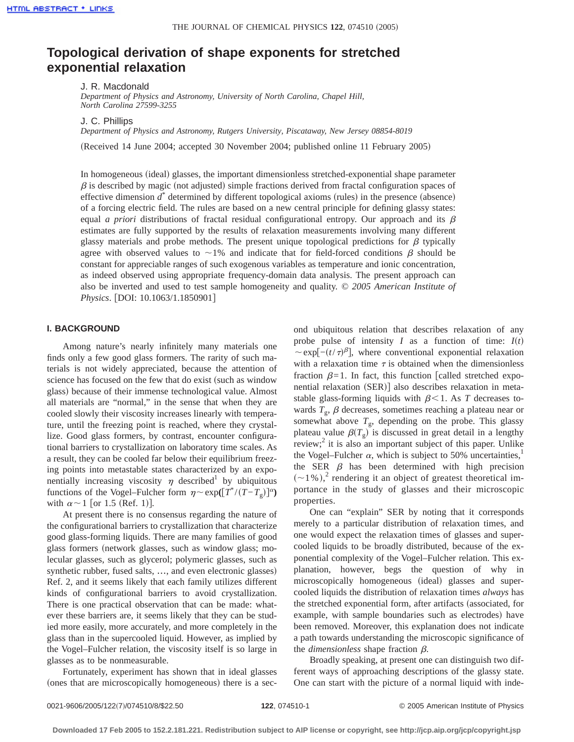# **Topological derivation of shape exponents for stretched exponential relaxation**

J. R. Macdonald

*Department of Physics and Astronomy, University of North Carolina, Chapel Hill, North Carolina 27599-3255*

J. C. Phillips

*Department of Physics and Astronomy, Rutgers University, Piscataway, New Jersey 08854-8019*

(Received 14 June 2004; accepted 30 November 2004; published online 11 February 2005)

In homogeneous (ideal) glasses, the important dimensionless stretched-exponential shape parameter  $\beta$  is described by magic (not adjusted) simple fractions derived from fractal configuration spaces of effective dimension  $d^*$  determined by different topological axioms (rules) in the presence (absence) of a forcing electric field. The rules are based on a new central principle for defining glassy states: equal *a priori* distributions of fractal residual configurational entropy. Our approach and its  $\beta$ estimates are fully supported by the results of relaxation measurements involving many different glassy materials and probe methods. The present unique topological predictions for  $\beta$  typically agree with observed values to  $\sim$ 1% and indicate that for field-forced conditions  $\beta$  should be constant for appreciable ranges of such exogenous variables as temperature and ionic concentration, as indeed observed using appropriate frequency-domain data analysis. The present approach can also be inverted and used to test sample homogeneity and quality. © *2005 American Institute of Physics.* [DOI: 10.1063/1.1850901]

### **I. BACKGROUND**

Among nature's nearly infinitely many materials one finds only a few good glass formers. The rarity of such materials is not widely appreciated, because the attention of science has focused on the few that do exist (such as window glass) because of their immense technological value. Almost all materials are "normal," in the sense that when they are cooled slowly their viscosity increases linearly with temperature, until the freezing point is reached, where they crystallize. Good glass formers, by contrast, encounter configurational barriers to crystallization on laboratory time scales. As a result, they can be cooled far below their equilibrium freezing points into metastable states characterized by an exponentially increasing viscosity  $\eta$  described<sup>1</sup> by ubiquitous functions of the Vogel–Fulcher form  $\eta \sim \exp(\left[T^*/(T-T_g)\right]^\alpha)$ with  $\alpha \sim 1$  [or 1.5 (Ref. 1)].

At present there is no consensus regarding the nature of the configurational barriers to crystallization that characterize good glass-forming liquids. There are many families of good glass formers (network glasses, such as window glass; molecular glasses, such as glycerol; polymeric glasses, such as synthetic rubber, fused salts, ..., and even electronic glasses) Ref. 2, and it seems likely that each family utilizes different kinds of configurational barriers to avoid crystallization. There is one practical observation that can be made: whatever these barriers are, it seems likely that they can be studied more easily, more accurately, and more completely in the glass than in the supercooled liquid. However, as implied by the Vogel–Fulcher relation, the viscosity itself is so large in glasses as to be nonmeasurable.

Fortunately, experiment has shown that in ideal glasses (ones that are microscopically homogeneous) there is a second ubiquitous relation that describes relaxation of any probe pulse of intensity *I* as a function of time:  $I(t)$  $\sim$ exp[ $-(t/\tau)^{\beta}$ ], where conventional exponential relaxation with a relaxation time  $\tau$  is obtained when the dimensionless fraction  $\beta=1$ . In fact, this function [called stretched exponential relaxation (SER)] also describes relaxation in metastable glass-forming liquids with  $\beta$ <1. As *T* decreases towards  $T_g$ ,  $\beta$  decreases, sometimes reaching a plateau near or somewhat above  $T_g$ , depending on the probe. This glassy plateau value  $\beta(T_g)$  is discussed in great detail in a lengthy review; $^2$  it is also an important subject of this paper. Unlike the Vogel–Fulcher  $\alpha$ , which is subject to 50% uncertainties,<sup>1</sup> the SER  $\beta$  has been determined with high precision  $(\sim 1\%)$ , rendering it an object of greatest theoretical importance in the study of glasses and their microscopic properties.

One can "explain" SER by noting that it corresponds merely to a particular distribution of relaxation times, and one would expect the relaxation times of glasses and supercooled liquids to be broadly distributed, because of the exponential complexity of the Vogel–Fulcher relation. This explanation, however, begs the question of why in microscopically homogeneous (ideal) glasses and supercooled liquids the distribution of relaxation times *always* has the stretched exponential form, after artifacts (associated, for example, with sample boundaries such as electrodes) have been removed. Moreover, this explanation does not indicate a path towards understanding the microscopic significance of the *dimensionless* shape fraction  $\beta$ .

Broadly speaking, at present one can distinguish two different ways of approaching descriptions of the glassy state. One can start with the picture of a normal liquid with inde-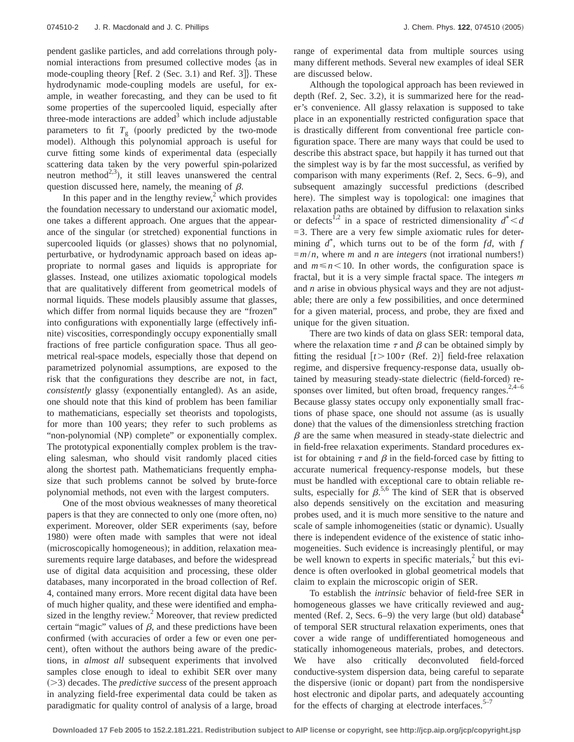pendent gaslike particles, and add correlations through polynomial interactions from presumed collective modes {as in mode-coupling theory  $[Ref. 2 (Sec. 3.1)$  and Ref. 3]. These hydrodynamic mode-coupling models are useful, for example, in weather forecasting, and they can be used to fit some properties of the supercooled liquid, especially after three-mode interactions are added<sup>3</sup> which include adjustable parameters to fit  $T_g$  (poorly predicted by the two-mode model). Although this polynomial approach is useful for curve fitting some kinds of experimental data (especially scattering data taken by the very powerful spin-polarized neutron method<sup>2,3</sup>), it still leaves unanswered the central question discussed here, namely, the meaning of  $\beta$ .

In this paper and in the lengthy review, $\alpha$ <sup>2</sup> which provides the foundation necessary to understand our axiomatic model, one takes a different approach. One argues that the appearance of the singular (or stretched) exponential functions in supercooled liquids (or glasses) shows that no polynomial, perturbative, or hydrodynamic approach based on ideas appropriate to normal gases and liquids is appropriate for glasses. Instead, one utilizes axiomatic topological models that are qualitatively different from geometrical models of normal liquids. These models plausibly assume that glasses, which differ from normal liquids because they are "frozen" into configurations with exponentially large (effectively infinite) viscosities, correspondingly occupy exponentially small fractions of free particle configuration space. Thus all geometrical real-space models, especially those that depend on parametrized polynomial assumptions, are exposed to the risk that the configurations they describe are not, in fact, *consistently* glassy (exponentially entangled). As an aside, one should note that this kind of problem has been familiar to mathematicians, especially set theorists and topologists, for more than 100 years; they refer to such problems as "non-polynomial (NP) complete" or exponentially complex. The prototypical exponentially complex problem is the traveling salesman, who should visit randomly placed cities along the shortest path. Mathematicians frequently emphasize that such problems cannot be solved by brute-force polynomial methods, not even with the largest computers.

One of the most obvious weaknesses of many theoretical papers is that they are connected to only one (more often, no) experiment. Moreover, older SER experiments (say, before 1980) were often made with samples that were not ideal (microscopically homogeneous); in addition, relaxation measurements require large databases, and before the widespread use of digital data acquisition and processing, these older databases, many incorporated in the broad collection of Ref. 4, contained many errors. More recent digital data have been of much higher quality, and these were identified and emphasized in the lengthy review.<sup>2</sup> Moreover, that review predicted certain "magic" values of  $\beta$ , and these predictions have been confirmed (with accuracies of order a few or even one percent), often without the authors being aware of the predictions, in *almost all* subsequent experiments that involved samples close enough to ideal to exhibit SER over many  $(>= 3)$  decades. The *predictive success* of the present approach in analyzing field-free experimental data could be taken as paradigmatic for quality control of analysis of a large, broad range of experimental data from multiple sources using many different methods. Several new examples of ideal SER are discussed below.

Although the topological approach has been reviewed in depth (Ref. 2, Sec. 3.2), it is summarized here for the reader's convenience. All glassy relaxation is supposed to take place in an exponentially restricted configuration space that is drastically different from conventional free particle configuration space. There are many ways that could be used to describe this abstract space, but happily it has turned out that the simplest way is by far the most successful, as verified by comparison with many experiments (Ref. 2, Secs.  $6-9$ ), and subsequent amazingly successful predictions (described here). The simplest way is topological: one imagines that relaxation paths are obtained by diffusion to relaxation sinks or defects<sup>1,2</sup> in a space of restricted dimensionality  $d^*$  < *d*  $=$  3. There are a very few simple axiomatic rules for determining *d*\* , which turns out to be of the form *fd*, with *f*  $=m/n$ , where *m* and *n* are *integers* (not irrational numbers!) and  $m \le n \le 10$ . In other words, the configuration space is fractal, but it is a very simple fractal space. The integers *m* and *n* arise in obvious physical ways and they are not adjustable; there are only a few possibilities, and once determined for a given material, process, and probe, they are fixed and unique for the given situation.

There are two kinds of data on glass SER: temporal data, where the relaxation time  $\tau$  and  $\beta$  can be obtained simply by fitting the residual  $[t>100\tau$  (Ref. 2)] field-free relaxation regime, and dispersive frequency-response data, usually obtained by measuring steady-state dielectric (field-forced) responses over limited, but often broad, frequency ranges. $2,4-6$ Because glassy states occupy only exponentially small fractions of phase space, one should not assume (as is usually done) that the values of the dimensionless stretching fraction  $\beta$  are the same when measured in steady-state dielectric and in field-free relaxation experiments. Standard procedures exist for obtaining  $\tau$  and  $\beta$  in the field-forced case by fitting to accurate numerical frequency-response models, but these must be handled with exceptional care to obtain reliable results, especially for  $\beta$ <sup>5,6</sup>. The kind of SER that is observed also depends sensitively on the excitation and measuring probes used, and it is much more sensitive to the nature and scale of sample inhomogeneities (static or dynamic). Usually there is independent evidence of the existence of static inhomogeneities. Such evidence is increasingly plentiful, or may be well known to experts in specific materials, $\lambda$  but this evidence is often overlooked in global geometrical models that claim to explain the microscopic origin of SER.

To establish the *intrinsic* behavior of field-free SER in homogeneous glasses we have critically reviewed and augmented (Ref. 2, Secs.  $6-9$ ) the very large (but old) database<sup>4</sup> of temporal SER structural relaxation experiments, ones that cover a wide range of undifferentiated homogeneous and statically inhomogeneous materials, probes, and detectors. We have also critically deconvoluted field-forced conductive-system dispersion data, being careful to separate the dispersive (ionic or dopant) part from the nondispersive host electronic and dipolar parts, and adequately accounting for the effects of charging at electrode interfaces. $5<sup>-7</sup>$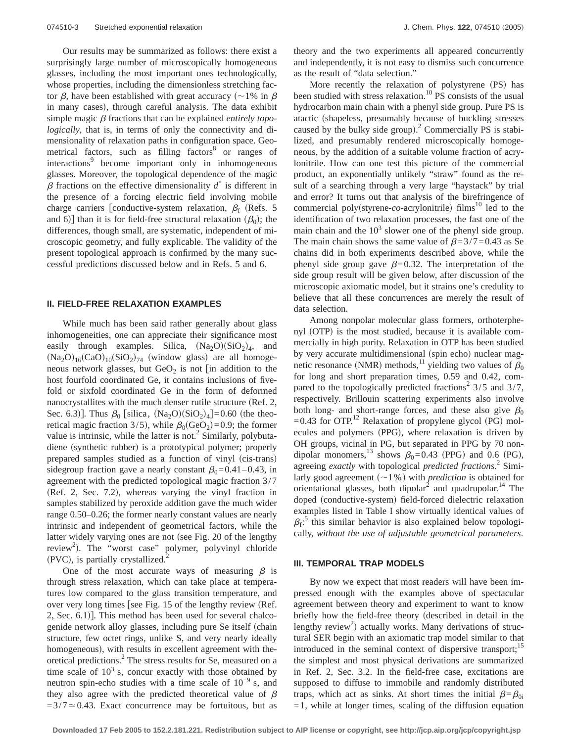Our results may be summarized as follows: there exist a surprisingly large number of microscopically homogeneous glasses, including the most important ones technologically, whose properties, including the dimensionless stretching factor  $\beta$ , have been established with great accuracy (~1% in  $\beta$ ) in many cases), through careful analysis. The data exhibit simple magic  $\beta$  fractions that can be explained *entirely topologically*, that is, in terms of only the connectivity and dimensionality of relaxation paths in configuration space. Geometrical factors, such as filling factors $8$  or ranges of interactions<sup>9</sup> become important only in inhomogeneous glasses. Moreover, the topological dependence of the magic  $\beta$  fractions on the effective dimensionality  $d^*$  is different in the presence of a forcing electric field involving mobile charge carriers [conductive-system relaxation,  $\beta_f$  (Refs. 5) and 6)] than it is for field-free structural relaxation  $(\beta_0)$ ; the differences, though small, are systematic, independent of microscopic geometry, and fully explicable. The validity of the present topological approach is confirmed by the many successful predictions discussed below and in Refs. 5 and 6.

#### **II. FIELD-FREE RELAXATION EXAMPLES**

While much has been said rather generally about glass inhomogeneities, one can appreciate their significance most easily through examples. Silica,  $(Na_2O)(SiO_2)_4$ , and  $(Na_2O)_{16}(CaO)_{10}(SiO_2)_{74}$  (window glass) are all homogeneous network glasses, but  $\text{GeO}_2$  is not [in addition to the host fourfold coordinated Ge, it contains inclusions of fivefold or sixfold coordinated Ge in the form of deformed nanocrystallites with the much denser rutile structure  $(Ref. 2,$ Sec. 6.3)]. Thus  $\beta_0$  [silica,  $(Na_2O)(SiO_2)_4$ ]=0.60 (the theoretical magic fraction 3/5), while  $\beta_0$ (GeO<sub>2</sub>)=0.9; the former value is intrinsic, while the latter is not.<sup>2</sup> Similarly, polybutadiene (synthetic rubber) is a prototypical polymer; properly prepared samples studied as a function of vinyl (cis-trans) sidegroup fraction gave a nearly constant  $\beta_0$ =0.41–0.43, in agreement with the predicted topological magic fraction 3/7  $(Ref. 2, Sec. 7.2),$  whereas varying the vinyl fraction in samples stabilized by peroxide addition gave the much wider range 0.50–0.26; the former nearly constant values are nearly intrinsic and independent of geometrical factors, while the latter widely varying ones are not (see Fig. 20 of the lengthy review<sup>2</sup>). The "worst case" polymer, polyvinyl chloride  $(PVC)$ , is partially crystallized.

One of the most accurate ways of measuring  $\beta$  is through stress relaxation, which can take place at temperatures low compared to the glass transition temperature, and over very long times [see Fig.  $15$  of the lengthy review (Ref. 2, Sec.  $6.1$ ]. This method has been used for several chalcogenide network alloy glasses, including pure Se itself (chain structure, few octet rings, unlike S, and very nearly ideally homogeneous), with results in excellent agreement with theoretical predictions.2 The stress results for Se, measured on a time scale of  $10<sup>3</sup>$  s, concur exactly with those obtained by neutron spin-echo studies with a time scale of 10−9 s, and they also agree with the predicted theoretical value of  $\beta$  $=3/7 \approx 0.43$ . Exact concurrence may be fortuitous, but as theory and the two experiments all appeared concurrently and independently, it is not easy to dismiss such concurrence as the result of "data selection."

More recently the relaxation of polystyrene (PS) has been studied with stress relaxation.<sup>10</sup> PS consists of the usual hydrocarbon main chain with a phenyl side group. Pure PS is atactic (shapeless, presumably because of buckling stresses caused by the bulky side group). $^2$  Commercially PS is stabilized, and presumably rendered microscopically homogeneous, by the addition of a suitable volume fraction of acrylonitrile. How can one test this picture of the commercial product, an exponentially unlikely "straw" found as the result of a searching through a very large "haystack" by trial and error? It turns out that analysis of the birefringence of commercial poly(styrene-*co*-acrylonitrile) films<sup>10</sup> led to the identification of two relaxation processes, the fast one of the main chain and the  $10<sup>3</sup>$  slower one of the phenyl side group. The main chain shows the same value of  $\beta = 3/7 = 0.43$  as Se chains did in both experiments described above, while the phenyl side group gave  $\beta$ =0.32. The interpretation of the side group result will be given below, after discussion of the microscopic axiomatic model, but it strains one's credulity to believe that all these concurrences are merely the result of data selection.

Among nonpolar molecular glass formers, orthoterphenyl  $(OTP)$  is the most studied, because it is available commercially in high purity. Relaxation in OTP has been studied by very accurate multidimensional (spin echo) nuclear magnetic resonance (NMR) methods,<sup>11</sup> yielding two values of  $\beta_0$ for long and short preparation times, 0.59 and 0.42, compared to the topologically predicted fractions<sup>2</sup> 3/5 and 3/7, respectively. Brillouin scattering experiments also involve both long- and short-range forces, and these also give  $\beta_0$  $=0.43$  for OTP.<sup>12</sup> Relaxation of propylene glycol (PG) molecules and polymers (PPG), where relaxation is driven by OH groups, vicinal in PG, but separated in PPG by 70 nondipolar monomers,<sup>13</sup> shows  $\beta_0$ =0.43 (PPG) and 0.6 (PG), agreeing *exactly* with topological *predicted fractions*. <sup>2</sup> Similarly good agreement  $(\sim1\%)$  with *prediction* is obtained for orientational glasses, both dipolar $^2$  and quadrupolar.<sup>14</sup> The doped (conductive-system) field-forced dielectric relaxation examples listed in Table I show virtually identical values of  $\beta_f$ <sup>5</sup> this similar behavior is also explained below topologically, *without the use of adjustable geometrical parameters*.

#### **III. TEMPORAL TRAP MODELS**

By now we expect that most readers will have been impressed enough with the examples above of spectacular agreement between theory and experiment to want to know briefly how the field-free theory (described in detail in the lengthy review<sup>2</sup>) actually works. Many derivations of structural SER begin with an axiomatic trap model similar to that introduced in the seminal context of dispersive transport;<sup>15</sup> the simplest and most physical derivations are summarized in Ref. 2, Sec. 3.2. In the field-free case, excitations are supposed to diffuse to immobile and randomly distributed traps, which act as sinks. At short times the initial  $\beta = \beta_{0i}$  $=1$ , while at longer times, scaling of the diffusion equation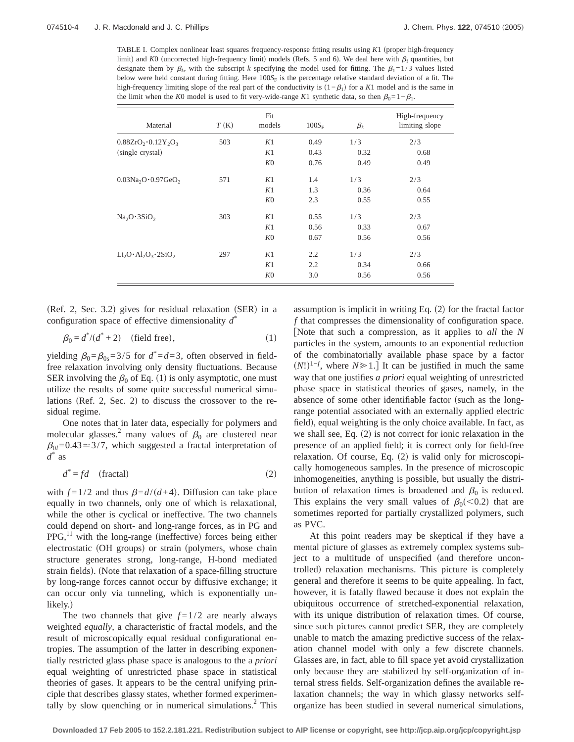TABLE I. Complex nonlinear least squares frequency-response fitting results using *K*1 (proper high-frequency limit) and *K*0 (uncorrected high-frequency limit) models (Refs. 5 and 6). We deal here with  $\beta_f$  quantities, but designate them by  $\beta_k$ , with the subscript *k* specifying the model used for fitting. The  $\beta_1=1/3$  values listed below were held constant during fitting. Here 100S<sub>F</sub> is the percentage relative standard deviation of a fit. The high-frequency limiting slope of the real part of the conductivity is  $(1-\beta_1)$  for a *K*1 model and is the same in the limit when the *K*0 model is used to fit very-wide-range *K*1 synthetic data, so then  $\beta_0=1-\beta_1$ .

| Material                            | T(K) | Fit<br>models  | $100S_F$ | $\beta_k$ | High-frequency<br>limiting slope |
|-------------------------------------|------|----------------|----------|-----------|----------------------------------|
| $0.88ZrO2 \cdot 0.12Y2O3$           | 503  | K1             | 0.49     | 1/3       | 2/3                              |
| (single crystal)                    |      | K1             | 0.43     | 0.32      | 0.68                             |
|                                     |      | K <sub>0</sub> | 0.76     | 0.49      | 0.49                             |
| $0.03Na2O0.97GeO2$                  | 571  | K1             | 1.4      | 1/3       | 2/3                              |
|                                     |      | K1             | 1.3      | 0.36      | 0.64                             |
|                                     |      | K <sub>0</sub> | 2.3      | 0.55      | 0.55                             |
| Na <sub>2</sub> O·3SiO <sub>2</sub> | 303  | K1             | 0.55     | 1/3       | 2/3                              |
|                                     |      | K1             | 0.56     | 0.33      | 0.67                             |
|                                     |      | K <sub>0</sub> | 0.67     | 0.56      | 0.56                             |
| $Li2O \cdot Al2O3 \cdot 2SiO2$      | 297  | K1             | 2.2      | 1/3       | 2/3                              |
|                                     |      | K1             | 2.2      | 0.34      | 0.66                             |
|                                     |      | K <sub>0</sub> | 3.0      | 0.56      | 0.56                             |

 $(Ref. 2, Sec. 3.2)$  gives for residual relaxation  $(SER)$  in a configuration space of effective dimensionality *d*\*

$$
\beta_0 = d^*/(d^* + 2) \quad \text{(field free)},\tag{1}
$$

yielding  $\beta_0 = \beta_{0s} = 3/5$  for  $d^* = d = 3$ , often observed in fieldfree relaxation involving only density fluctuations. Because SER involving the  $\beta_0$  of Eq. (1) is only asymptotic, one must utilize the results of some quite successful numerical simulations (Ref. 2, Sec. 2) to discuss the crossover to the residual regime.

One notes that in later data, especially for polymers and molecular glasses.<sup>2</sup> many values of  $\beta_0$  are clustered near  $\beta_{0l}=0.43\approx3/7$ , which suggested a fractal interpretation of *d*\* as

$$
d^* = fd \quad \text{(fractal)} \tag{2}
$$

with  $f=1/2$  and thus  $\beta=d/(d+4)$ . Diffusion can take place equally in two channels, only one of which is relaxational, while the other is cyclical or ineffective. The two channels could depend on short- and long-range forces, as in PG and  $PPG<sub>11</sub><sup>11</sup>$  with the long-range (ineffective) forces being either electrostatic (OH groups) or strain (polymers, whose chain structure generates strong, long-range, H-bond mediated strain fields). (Note that relaxation of a space-filling structure by long-range forces cannot occur by diffusive exchange; it can occur only via tunneling, which is exponentially unlikely.)

The two channels that give  $f = 1/2$  are nearly always weighted *equally*, a characteristic of fractal models, and the result of microscopically equal residual configurational entropies. The assumption of the latter in describing exponentially restricted glass phase space is analogous to the a *priori* equal weighting of unrestricted phase space in statistical theories of gases. It appears to be the central unifying principle that describes glassy states, whether formed experimentally by slow quenching or in numerical simulations.<sup>2</sup> This assumption is implicit in writing Eq.  $(2)$  for the fractal factor *f* that compresses the dimensionality of configuration space. fNote that such a compression, as it applies to *all* the *N* particles in the system, amounts to an exponential reduction of the combinatorially available phase space by a factor  $(N!)^{1-f}$ , where *N*  $\geq$  1.] It can be justified in much the same way that one justifies *a priori* equal weighting of unrestricted phase space in statistical theories of gases, namely, in the absence of some other identifiable factor (such as the longrange potential associated with an externally applied electric field), equal weighting is the only choice available. In fact, as we shall see, Eq.  $(2)$  is not correct for ionic relaxation in the presence of an applied field; it is correct only for field-free relaxation. Of course, Eq.  $(2)$  is valid only for microscopically homogeneous samples. In the presence of microscopic inhomogeneities, anything is possible, but usually the distribution of relaxation times is broadened and  $\beta_0$  is reduced. This explains the very small values of  $\beta_0 \approx 0.2$  that are sometimes reported for partially crystallized polymers, such as PVC.

At this point readers may be skeptical if they have a mental picture of glasses as extremely complex systems subject to a multitude of unspecified (and therefore uncontrolled) relaxation mechanisms. This picture is completely general and therefore it seems to be quite appealing. In fact, however, it is fatally flawed because it does not explain the ubiquitous occurrence of stretched-exponential relaxation, with its unique distribution of relaxation times. Of course, since such pictures cannot predict SER, they are completely unable to match the amazing predictive success of the relaxation channel model with only a few discrete channels. Glasses are, in fact, able to fill space yet avoid crystallization only because they are stabilized by self-organization of internal stress fields. Self-organization defines the available relaxation channels; the way in which glassy networks selforganize has been studied in several numerical simulations,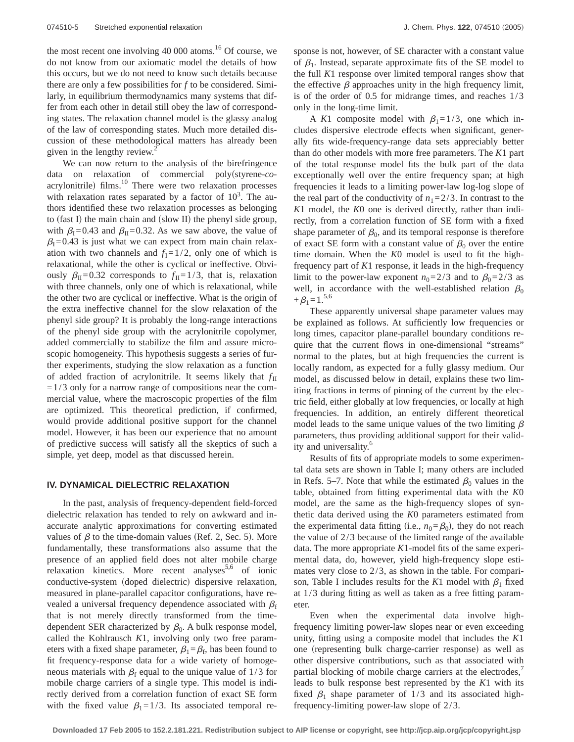the most recent one involving  $40\,000$  atoms.<sup>16</sup> Of course, we do not know from our axiomatic model the details of how this occurs, but we do not need to know such details because there are only a few possibilities for *f* to be considered. Similarly, in equilibrium thermodynamics many systems that differ from each other in detail still obey the law of corresponding states. The relaxation channel model is the glassy analog of the law of corresponding states. Much more detailed discussion of these methodological matters has already been given in the lengthy review.

We can now return to the analysis of the birefringence data on relaxation of commercial poly(styrene-coacrylonitrile) films.<sup>10</sup> There were two relaxation processes with relaxation rates separated by a factor of  $10<sup>3</sup>$ . The authors identified these two relaxation processes as belonging to (fast I) the main chain and (slow II) the phenyl side group, with  $\beta_{\text{I}}=0.43$  and  $\beta_{\text{II}}=0.32$ . As we saw above, the value of  $\beta$ <sub>I</sub>=0.43 is just what we can expect from main chain relaxation with two channels and  $f_1=1/2$ , only one of which is relaxational, while the other is cyclical or ineffective. Obviously  $\beta_{\text{II}}=0.32$  corresponds to  $f_{\text{II}}=1/3$ , that is, relaxation with three channels, only one of which is relaxational, while the other two are cyclical or ineffective. What is the origin of the extra ineffective channel for the slow relaxation of the phenyl side group? It is probably the long-range interactions of the phenyl side group with the acrylonitrile copolymer, added commercially to stabilize the film and assure microscopic homogeneity. This hypothesis suggests a series of further experiments, studying the slow relaxation as a function of added fraction of acrylonitrile. It seems likely that  $f_{\text{II}}$  $=1/3$  only for a narrow range of compositions near the commercial value, where the macroscopic properties of the film are optimized. This theoretical prediction, if confirmed, would provide additional positive support for the channel model. However, it has been our experience that no amount of predictive success will satisfy all the skeptics of such a simple, yet deep, model as that discussed herein.

### **IV. DYNAMICAL DIELECTRIC RELAXATION**

In the past, analysis of frequency-dependent field-forced dielectric relaxation has tended to rely on awkward and inaccurate analytic approximations for converting estimated values of  $\beta$  to the time-domain values (Ref. 2, Sec. 5). More fundamentally, these transformations also assume that the presence of an applied field does not alter mobile charge relaxation kinetics. More recent analyses<sup>5,6</sup> of ionic conductive-system (doped dielectric) dispersive relaxation, measured in plane-parallel capacitor configurations, have revealed a universal frequency dependence associated with  $\beta_f$ that is not merely directly transformed from the timedependent SER characterized by  $\beta_0$ . A bulk response model, called the Kohlrausch *K*1, involving only two free parameters with a fixed shape parameter,  $\beta_1 = \beta_f$ , has been found to fit frequency-response data for a wide variety of homogeneous materials with  $\beta_f$  equal to the unique value of 1/3 for mobile charge carriers of a single type. This model is indirectly derived from a correlation function of exact SE form with the fixed value  $\beta_1=1/3$ . Its associated temporal response is not, however, of SE character with a constant value of  $\beta_1$ . Instead, separate approximate fits of the SE model to the full *K*1 response over limited temporal ranges show that the effective  $\beta$  approaches unity in the high frequency limit, is of the order of 0.5 for midrange times, and reaches 1/3 only in the long-time limit.

A *K*1 composite model with  $\beta_1=1/3$ , one which includes dispersive electrode effects when significant, generally fits wide-frequency-range data sets appreciably better than do other models with more free parameters. The *K*1 part of the total response model fits the bulk part of the data exceptionally well over the entire frequency span; at high frequencies it leads to a limiting power-law log-log slope of the real part of the conductivity of  $n_1=2/3$ . In contrast to the *K*1 model, the *K*0 one is derived directly, rather than indirectly, from a correlation function of SE form with a fixed shape parameter of  $\beta_0$ , and its temporal response is therefore of exact SE form with a constant value of  $\beta_0$  over the entire time domain. When the *K*0 model is used to fit the highfrequency part of *K*1 response, it leads in the high-frequency limit to the power-law exponent  $n_0=2/3$  and to  $\beta_0=2/3$  as well, in accordance with the well-established relation  $\beta_0$  $+\beta_1=1.^{5,6}$ 

These apparently universal shape parameter values may be explained as follows. At sufficiently low frequencies or long times, capacitor plane-parallel boundary conditions require that the current flows in one-dimensional "streams" normal to the plates, but at high frequencies the current is locally random, as expected for a fully glassy medium. Our model, as discussed below in detail, explains these two limiting fractions in terms of pinning of the current by the electric field, either globally at low frequencies, or locally at high frequencies. In addition, an entirely different theoretical model leads to the same unique values of the two limiting  $\beta$ parameters, thus providing additional support for their validity and universality.<sup>6</sup>

Results of fits of appropriate models to some experimental data sets are shown in Table I; many others are included in Refs. 5–7. Note that while the estimated  $\beta_0$  values in the table, obtained from fitting experimental data with the *K*0 model, are the same as the high-frequency slopes of synthetic data derived using the *K*0 parameters estimated from the experimental data fitting (i.e.,  $n_0 = \beta_0$ ), they do not reach the value of 2/3 because of the limited range of the available data. The more appropriate *K*1-model fits of the same experimental data, do, however, yield high-frequency slope estimates very close to 2/3, as shown in the table. For comparison, Table I includes results for the *K*1 model with  $\beta_1$  fixed at 1/3 during fitting as well as taken as a free fitting parameter.

Even when the experimental data involve highfrequency limiting power-law slopes near or even exceeding unity, fitting using a composite model that includes the *K*1 one (representing bulk charge-carrier response) as well as other dispersive contributions, such as that associated with partial blocking of mobile charge carriers at the electrodes,<sup>7</sup> leads to bulk response best represented by the *K*1 with its fixed  $\beta_1$  shape parameter of 1/3 and its associated highfrequency-limiting power-law slope of 2/3.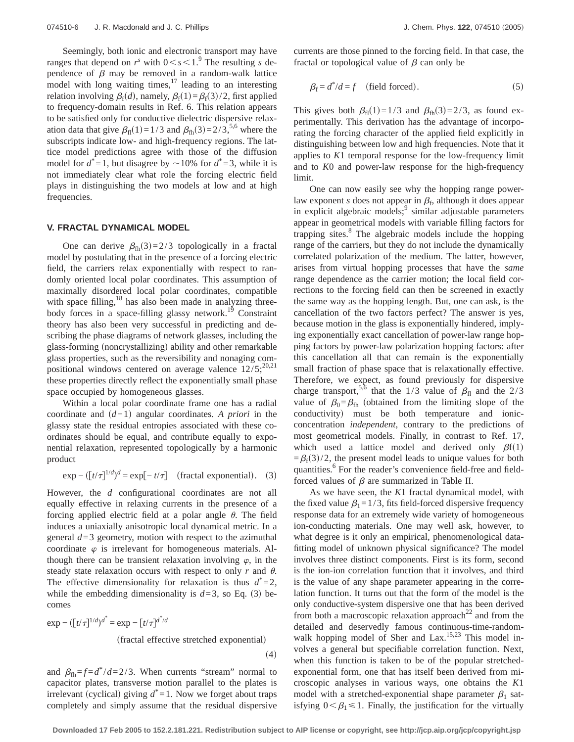Seemingly, both ionic and electronic transport may have ranges that depend on  $r^s$  with  $0 < s < 1$ . The resulting *s* dependence of  $\beta$  may be removed in a random-walk lattice model with long waiting times, $17$  leading to an interesting relation involving  $\beta_f(d)$ , namely,  $\beta_f(1) = \beta_f(3)/2$ , first applied to frequency-domain results in Ref. 6. This relation appears to be satisfied only for conductive dielectric dispersive relaxation data that give  $\beta_{\text{fl}}(1)=1/3$  and  $\beta_{\text{fh}}(3)=2/3,5.6$  where the subscripts indicate low- and high-frequency regions. The lattice model predictions agree with those of the diffusion model for  $d^* = 1$ , but disagree by  $\sim 10\%$  for  $d^* = 3$ , while it is not immediately clear what role the forcing electric field plays in distinguishing the two models at low and at high frequencies.

#### **V. FRACTAL DYNAMICAL MODEL**

One can derive  $\beta_{\text{fh}}(3)=2/3$  topologically in a fractal model by postulating that in the presence of a forcing electric field, the carriers relax exponentially with respect to randomly oriented local polar coordinates. This assumption of maximally disordered local polar coordinates, compatible with space filling,<sup>18</sup> has also been made in analyzing threebody forces in a space-filling glassy network.<sup>19</sup> Constraint theory has also been very successful in predicting and describing the phase diagrams of network glasses, including the glass-forming (noncrystallizing) ability and other remarkable glass properties, such as the reversibility and nonaging compositional windows centered on average valence  $12/5$ ;<sup>20,21</sup> these properties directly reflect the exponentially small phase space occupied by homogeneous glasses.

Within a local polar coordinate frame one has a radial coordinate and  $(d-1)$  angular coordinates. *A priori* in the glassy state the residual entropies associated with these coordinates should be equal, and contribute equally to exponential relaxation, represented topologically by a harmonic product

$$
\exp -([\tau/\tau]^{1/d})^d = \exp[-\tau/\tau] \quad \text{(fractal exponential)}.
$$
 (3)

However, the *d* configurational coordinates are not all equally effective in relaxing currents in the presence of a forcing applied electric field at a polar angle  $\theta$ . The field induces a uniaxially anisotropic local dynamical metric. In a general *d*=3 geometry, motion with respect to the azimuthal coordinate  $\varphi$  is irrelevant for homogeneous materials. Although there can be transient relaxation involving  $\varphi$ , in the steady state relaxation occurs with respect to only  $r$  and  $\theta$ . The effective dimensionality for relaxation is thus  $d^* = 2$ , while the embedding dimensionality is  $d=3$ , so Eq. (3) becomes

$$
\exp - ([t/\tau]^{1/d})^{d^*} = \exp - [t/\tau]^{d^* / d}
$$
  
(fractal effective stretched exponential) (4)

and  $\beta_{\text{fh}} = f = d^*/d = 2/3$ . When currents "stream" normal to capacitor plates, transverse motion parallel to the plates is irrelevant (cyclical) giving  $d^* = 1$ . Now we forget about traps completely and simply assume that the residual dispersive currents are those pinned to the forcing field. In that case, the fractal or topological value of  $\beta$  can only be

$$
\beta_{\rm f} = d^*/d = f \quad \text{(field forced)}.
$$

This gives both  $\beta_{\text{fl}}(1)=1/3$  and  $\beta_{\text{fh}}(3)=2/3$ , as found experimentally. This derivation has the advantage of incorporating the forcing character of the applied field explicitly in distinguishing between low and high frequencies. Note that it applies to *K*1 temporal response for the low-frequency limit and to *K*0 and power-law response for the high-frequency limit.

One can now easily see why the hopping range powerlaw exponent *s* does not appear in  $\beta_f$ , although it does appear in explicit algebraic models;<sup>9</sup> similar adjustable parameters appear in geometrical models with variable filling factors for trapping sites.<sup>8</sup> The algebraic models include the hopping range of the carriers, but they do not include the dynamically correlated polarization of the medium. The latter, however, arises from virtual hopping processes that have the *same* range dependence as the carrier motion; the local field corrections to the forcing field can then be screened in exactly the same way as the hopping length. But, one can ask, is the cancellation of the two factors perfect? The answer is yes, because motion in the glass is exponentially hindered, implying exponentially exact cancellation of power-law range hopping factors by power-law polarization hopping factors: after this cancellation all that can remain is the exponentially small fraction of phase space that is relaxationally effective. Therefore, we expect, as found previously for dispersive charge transport,<sup>5,6</sup> that the 1/3 value of  $\beta_{\text{fl}}$  and the 2/3 value of  $\beta_0 = \beta_{\text{fh}}$  (obtained from the limiting slope of the conductivity) must be both temperature and ionicconcentration *independent*, contrary to the predictions of most geometrical models. Finally, in contrast to Ref. 17, which used a lattice model and derived only  $\beta f(1)$  $=\beta_f(3)/2$ , the present model leads to unique values for both quantities.<sup>6</sup> For the reader's convenience field-free and fieldforced values of  $\beta$  are summarized in Table II.

As we have seen, the *K*1 fractal dynamical model, with the fixed value  $\beta_1=1/3$ , fits field-forced dispersive frequency response data for an extremely wide variety of homogeneous ion-conducting materials. One may well ask, however, to what degree is it only an empirical, phenomenological datafitting model of unknown physical significance? The model involves three distinct components. First is its form, second is the ion-ion correlation function that it involves, and third is the value of any shape parameter appearing in the correlation function. It turns out that the form of the model is the only conductive-system dispersive one that has been derived from both a macroscopic relaxation approach<sup>22</sup> and from the detailed and deservedly famous continuous-time-randomwalk hopping model of Sher and Lax.<sup>15,23</sup> This model involves a general but specifiable correlation function. Next, when this function is taken to be of the popular stretchedexponential form, one that has itself been derived from microscopic analyses in various ways, one obtains the *K*1 model with a stretched-exponential shape parameter  $\beta_1$  satisfying  $0<\beta_1\leq 1$ . Finally, the justification for the virtually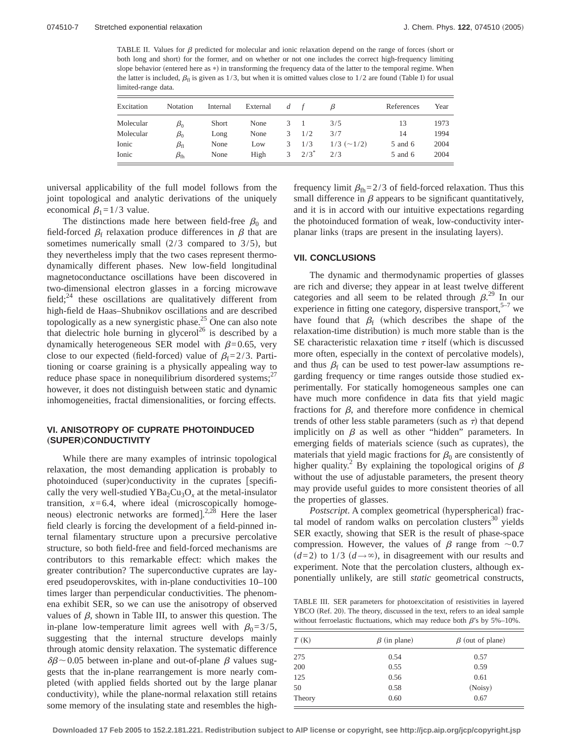TABLE II. Values for  $\beta$  predicted for molecular and ionic relaxation depend on the range of forces (short or both long and short) for the former, and on whether or not one includes the correct high-frequency limiting slope behavior (entered here as \*) in transforming the frequency data of the latter to the temporal regime. When the latter is included,  $\beta_{\rm fl}$  is given as 1/3, but when it is omitted values close to 1/2 are found (Table I) for usual limited-range data.

| Excitation | Notation         | Internal     | External | $\overline{d}$ |         |                     | References | Year |
|------------|------------------|--------------|----------|----------------|---------|---------------------|------------|------|
| Molecular  | $\beta_0$        | <b>Short</b> | None     | 3.             |         | 3/5                 | 13         | 1973 |
| Molecular  | $\beta_0$        | Long         | None     | 3              | 1/2     | 3/7                 | 14         | 1994 |
| Ionic      | $\beta_{\rm fl}$ | None         | Low      | 3              | 1/3     | $1/3$ ( $\sim$ 1/2) | 5 and 6    | 2004 |
| Ionic      | $\beta_{\rm fh}$ | None         | High     | 3              | $2/3^*$ | 2/3                 | 5 and 6    | 2004 |

universal applicability of the full model follows from the joint topological and analytic derivations of the uniquely economical  $\beta_1=1/3$  value.

The distinctions made here between field-free  $\beta_0$  and field-forced  $\beta_f$  relaxation produce differences in  $\beta$  that are sometimes numerically small  $(2/3$  compared to  $3/5$ , but they nevertheless imply that the two cases represent thermodynamically different phases. New low-field longitudinal magnetoconductance oscillations have been discovered in two-dimensional electron glasses in a forcing microwave field; $^{24}$  these oscillations are qualitatively different from high-field de Haas–Shubnikov oscillations and are described topologically as a new synergistic phase.<sup>25</sup> One can also note that dielectric hole burning in glycerol<sup>26</sup> is described by a dynamically heterogeneous SER model with  $\beta$ =0.65, very close to our expected (field-forced) value of  $\beta_f=2/3$ . Partitioning or coarse graining is a physically appealing way to reduce phase space in nonequilibrium disordered systems;<sup>27</sup> however, it does not distinguish between static and dynamic inhomogeneities, fractal dimensionalities, or forcing effects.

# **VI. ANISOTROPY OF CUPRATE PHOTOINDUCED** "**SUPER**…**CONDUCTIVITY**

While there are many examples of intrinsic topological relaxation, the most demanding application is probably to photoinduced (super)conductivity in the cuprates [specifically the very well-studied  $YBa<sub>2</sub>Cu<sub>3</sub>O<sub>x</sub>$  at the metal-insulator transition,  $x=6.4$ , where ideal (microscopically homogeneous) electronic networks are formed].<sup>2,28</sup> Here the laser field clearly is forcing the development of a field-pinned internal filamentary structure upon a precursive percolative structure, so both field-free and field-forced mechanisms are contributors to this remarkable effect: which makes the greater contribution? The superconductive cuprates are layered pseudoperovskites, with in-plane conductivities 10–100 times larger than perpendicular conductivities. The phenomena exhibit SER, so we can use the anisotropy of observed values of  $\beta$ , shown in Table III, to answer this question. The in-plane low-temperature limit agrees well with  $\beta_0=3/5$ , suggesting that the internal structure develops mainly through atomic density relaxation. The systematic difference  $\delta\beta$  ~ 0.05 between in-plane and out-of-plane  $\beta$  values suggests that the in-plane rearrangement is more nearly completed (with applied fields shorted out by the large planar conductivity), while the plane-normal relaxation still retains some memory of the insulating state and resembles the highfrequency limit  $\beta_{\text{fh}}=2/3$  of field-forced relaxation. Thus this small difference in  $\beta$  appears to be significant quantitatively, and it is in accord with our intuitive expectations regarding the photoinduced formation of weak, low-conductivity interplanar links (traps are present in the insulating layers).

## **VII. CONCLUSIONS**

The dynamic and thermodynamic properties of glasses are rich and diverse; they appear in at least twelve different categories and all seem to be related through  $\beta$ .<sup>29</sup> In our experience in fitting one category, dispersive transport,  $5-7$  we have found that  $\beta_f$  (which describes the shape of the relaxation-time distribution) is much more stable than is the SE characteristic relaxation time  $\tau$  itself (which is discussed more often, especially in the context of percolative models), and thus  $\beta_f$  can be used to test power-law assumptions regarding frequency or time ranges outside those studied experimentally. For statically homogeneous samples one can have much more confidence in data fits that yield magic fractions for  $\beta$ , and therefore more confidence in chemical trends of other less stable parameters (such as  $\tau$ ) that depend implicitly on  $\beta$  as well as other "hidden" parameters. In emerging fields of materials science (such as cuprates), the materials that yield magic fractions for  $\beta_0$  are consistently of higher quality.<sup>2</sup> By explaining the topological origins of  $\beta$ without the use of adjustable parameters, the present theory may provide useful guides to more consistent theories of all the properties of glasses.

*Postscript*. A complex geometrical (hyperspherical) fractal model of random walks on percolation clusters $30$  yields SER exactly, showing that SER is the result of phase-space compression. However, the values of  $\beta$  range from  $\sim 0.7$  $(d=2)$  to 1/3  $(d \rightarrow \infty)$ , in disagreement with our results and experiment. Note that the percolation clusters, although exponentially unlikely, are still *static* geometrical constructs,

TABLE III. SER parameters for photoexcitation of resistivities in layered YBCO (Ref. 20). The theory, discussed in the text, refers to an ideal sample without ferroelastic fluctuations, which may reduce both  $\beta$ 's by 5%–10%.

| T(K)   | $\beta$ (in plane) | $\beta$ (out of plane) |
|--------|--------------------|------------------------|
| 275    | 0.54               | 0.57                   |
| 200    | 0.55               | 0.59                   |
| 125    | 0.56               | 0.61                   |
| 50     | 0.58               | (Noisy)                |
| Theory | 0.60               | 0.67                   |